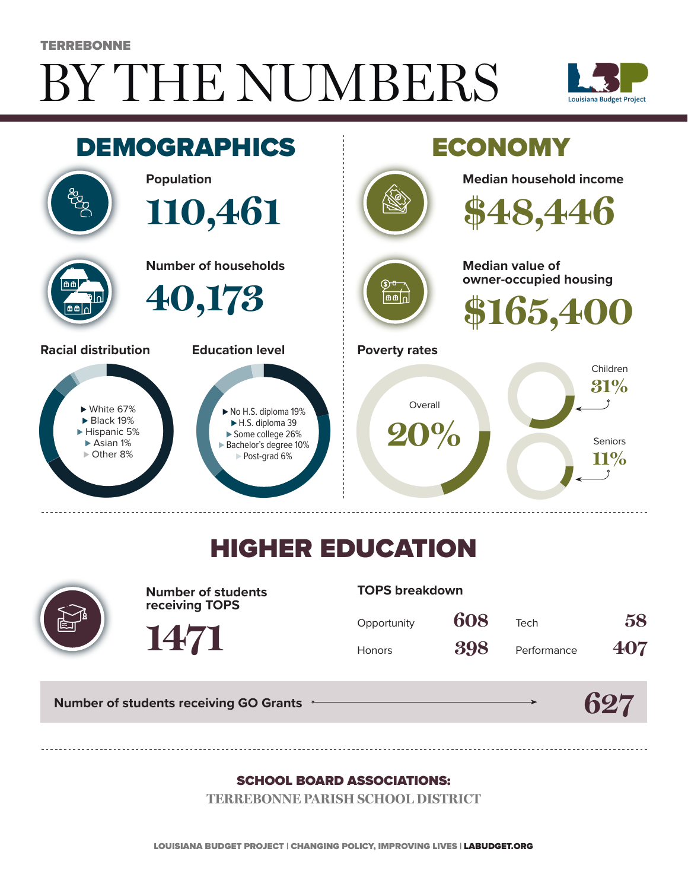# BY THE NUMBERS TERREBONNE





## HIGHER EDUCATION



**Number of students receiving TOPS**

#### **TOPS breakdown**

| Opportunity   | 608 | Tech        | 58  |
|---------------|-----|-------------|-----|
| <b>Honors</b> | 398 | Performance | 407 |

**Number of students receiving GO Grants**

**1471**

#### **62**

#### SCHOOL BOARD ASSOCIATIONS:

**TERREBONNE PARISH SCHOOL DISTRICT**